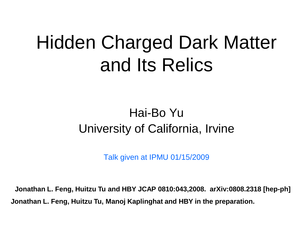#### Hidden Charged Dark Matter and Its Relics

#### Hai-Bo Yu University of California, Irvine

Talk given at IPMU 01/15/2009

**Jonathan L. Feng, Huitzu Tu and HBY JCAP 0810:043,2008. arXiv:0808.2318 [hep-ph] Jonathan L. Feng, Huitzu Tu, Manoj Kaplinghat and HBY in the preparation.**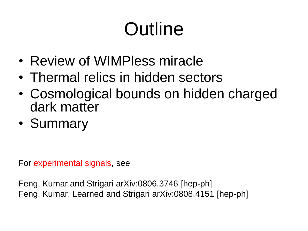## **Outline**

- Review of WIMPless miracle
- Thermal relics in hidden sectors
- Cosmological bounds on hidden charged dark matter
- Summary

For experimental signals, see

Feng, Kumar and Strigari arXiv:0806.3746 [hep-ph] Feng, Kumar, Learned and Strigari arXiv:0808.4151 [hep-ph]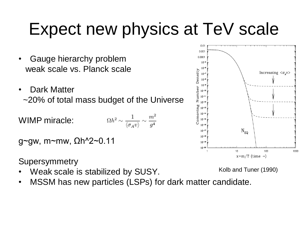#### Expect new physics at TeV scale

- Gauge hierarchy problem weak scale vs. Planck scale
- Dark Matter ~20% of total mass budget of the Universe
- $\Omega h^2 \sim \frac{1}{\langle \sigma_A v \rangle} \sim \frac{m^2}{g^4}$ WIMP miracle:

```
g~gw, m~mw, Ωh^2~0.11
```
**Supersymmetry** 

- Weak scale is stabilized by SUSY.
- MSSM has new particles (LSPs) for dark matter candidate.



Kolb and Tuner (1990)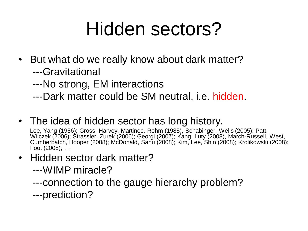## Hidden sectors?

- But what do we really know about dark matter? ---Gravitational
	- ---No strong, EM interactions
	- ---Dark matter could be SM neutral, i.e. hidden.
- The idea of hidden sector has long history.

Lee, Yang (1956); Gross, Harvey, Martinec, Rohm (1985), Schabinger, Wells (2005); Patt, Wilczek (2006); Strassler, Zurek (2006); Georgi (2007); Kang, Luty (2008), March-Russell, West, Cumberbatch, Hooper (2008); McDonald, Sahu (2008); Kim, Lee, Shin (2008); Krolikowski (2008); Foot (2008); …

- Hidden sector dark matter?
	- ---WIMP miracle?
	- ---connection to the gauge hierarchy problem?
	- ---prediction?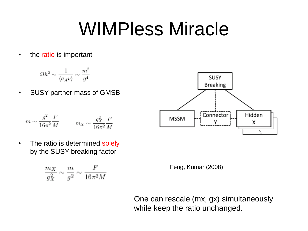#### WIMPless Miracle

• the ratio is important

$$
\Omega h^2 \sim \frac{1}{\langle \sigma_A v \rangle} \sim \frac{m^2}{g^4}
$$

• SUSY partner mass of GMSB

$$
m\sim \frac{g^2}{16\pi^2}\frac{F}{M} \qquad \ \ m_X\sim \frac{g_X^2}{16\pi^2}\frac{F}{M}
$$



SUSY **Breaking** 

Х

• The ratio is determined solely by the SUSY breaking factor

$$
\frac{m_X}{g_X^2} \sim \frac{m}{g^2} \sim \frac{F}{16\pi^2 M}
$$



One can rescale (mx, gx) simultaneously while keep the ratio unchanged.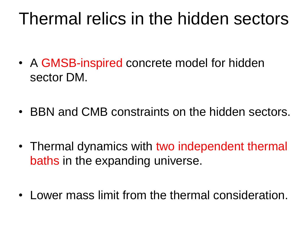#### Thermal relics in the hidden sectors

- A GMSB-inspired concrete model for hidden sector DM.
- BBN and CMB constraints on the hidden sectors.
- Thermal dynamics with two independent thermal baths in the expanding universe.
- Lower mass limit from the thermal consideration.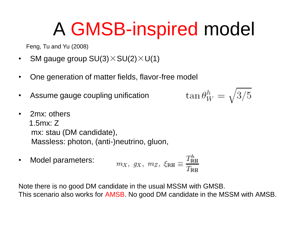#### A GMSB-inspired model

Feng, Tu and Yu (2008)

- SM gauge group  $SU(3)\times SU(2)\times U(1)$
- One generation of matter fields, flavor-free model
- Assume gauge coupling unification

$$
\tan\theta_W^h=\sqrt{3/5}
$$

- 2mx: others 1.5mx: Z mx: stau (DM candidate), Massless: photon, (anti-)neutrino, gluon,
- $m_X$ ,  $g_X$ ,  $m_Z$ ,  $\xi_{\rm RH} \equiv \frac{T_{\rm RH}^h}{T_{\rm RH}}$ • Model parameters:

Note there is no good DM candidate in the usual MSSM with GMSB. This scenario also works for AMSB. No good DM candidate in the MSSM with AMSB.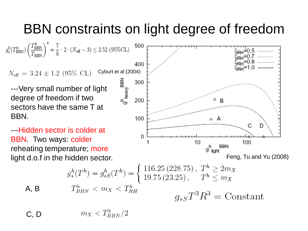#### BBN constraints on light degree of freedom

 $g^h_{*}(T_{\text{BBN}}^h) \left(\frac{T_{\text{BBN}}^h}{T_{\text{BBN}}}\right)^4 = \frac{7}{8} \cdot 2 \cdot (N_{\text{eff}} - 3) \leq 2.52 \text{ (95%CL)}$ 

Cyburt et al (2004)  $N_{\text{eff}} = 3.24 \pm 1.2$  (95% CL)

---Very small number of light degree of freedom if two sectors have the same T at BBN.

---Hidden sector is colder at BBN. Two ways: colder reheating temperature; more

 $A$ ,



$$
g^h_*(T^h) = g^h_{*S}(T^h) = \begin{cases} 116.25 (228.75), & T^h \ge 2m_X \\ 19.75 (23.25), & T^h \le m_X \end{cases}
$$
  
\n**B**  $T^h_{BBN} < m_X < T^h_{RH}$   $g_{*S}T^3R^3 = \text{Constant}$ 

 $m_X < T_{BBN}^h/2$ C, D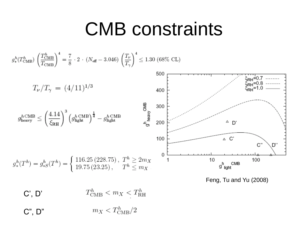#### CMB constraints



 $m_X < T_{\text{CMB}}^h/2$ C", D"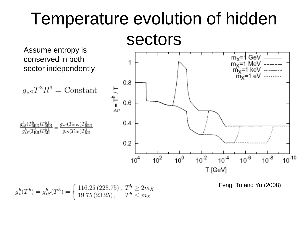## Temperature evolution of hidden

Assume entropy is conserved in both sector independently

$$
g_{*S}T^3R^3 = \text{Constant}
$$





$$
g^h_*(T^h) = g^h_{*S}(T^h) = \begin{cases} 116.25 (228.75), & T^h \ge 2m_X \\ 19.75 (23.25), & T^h \le m_X \end{cases}
$$

Feng, Tu and Yu (2008)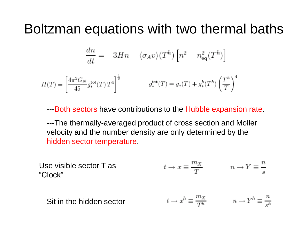#### Boltzman equations with two thermal baths

$$
\frac{dn}{dt} = -3Hn - \langle \sigma_A v \rangle (T^h) \left[ n^2 - n_{\text{eq}}^2 (T^h) \right]
$$

$$
H(T) = \left[\frac{4\pi^3 G_N}{45} g_*^{\rm tot}(T) T^4\right]^{\frac{1}{2}} \qquad \qquad g_*^{\rm tot}(T) = g_*(T) + g_*^h(T^h) \left(\frac{T^h}{T}\right)^4
$$

 $\mathbf{r}$ 

---Both sectors have contributions to the Hubble expansion rate.

---The thermally-averaged product of cross section and Moller velocity and the number density are only determined by the hidden sector temperature.

Use visible sector T as 
$$
t \to x \equiv \frac{m_X}{T}
$$
  $n \to Y \equiv \frac{n}{s}$ 

\n 1. 
$$
t \to x^h \equiv \frac{m_X}{T^h}
$$
\n
$$
n \to Y^h \equiv \frac{n}{s^h}
$$
\n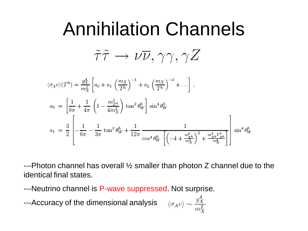#### Annihilation Channels

 $\tilde{\tau}\tilde{\tau}\to\nu\overline{\nu},\gamma\gamma,\gamma Z$ 

$$
\langle \sigma_A v \rangle (T^h) = \frac{g_X^4}{m_X^2} \left[ a_0 + a_1 \left( \frac{m_X}{T^h} \right)^{-1} + a_2 \left( \frac{m_X}{T^h} \right)^{-2} + \dots \right],
$$
  
\n
$$
a_0 = \left[ \frac{1}{8\pi} + \frac{1}{4\pi} \left( 1 - \frac{m_{Z^h}^2}{4m_X^2} \right) \tan^2 \theta_W^h \right] \sin^4 \theta_W^h
$$
  
\n
$$
a_1 = \frac{3}{2} \left[ -\frac{1}{6\pi} - \frac{1}{3\pi} \tan^2 \theta_W^h + \frac{1}{12\pi} \frac{1}{\cos^4 \theta_W^h \left[ \left( -4 + \frac{m_{Z^h}^2}{m_X^2} \right)^2 + \frac{m_{Z^h}^2 \Gamma_{Z^h}^2}{m_X^4} \right]} \right] \sin^4 \theta_W^h
$$

 $-$ --Photon channel has overall  $\frac{1}{2}$  smaller than photon Z channel due to the identical final states.

---Neutrino channel is P-wave suppressed. Not surprise.

---Accuracy of the dimensional analysis

$$
\langle \sigma_A v \rangle \sim \frac{g_X^4}{m_X^2}
$$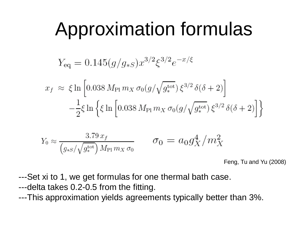#### Approximation formulas

$$
Y_{\text{eq}} = 0.145(g/g_{*S})x^{3/2}\xi^{3/2}e^{-x/\xi}
$$

$$
x_f \approx \xi \ln \left[ 0.038 M_{\text{Pl}} m_X \sigma_0(g/\sqrt{g_*^{\text{tot}}}) \xi^{3/2} \delta(\delta + 2) \right]
$$

$$
-\frac{1}{2} \xi \ln \left\{ \xi \ln \left[ 0.038 M_{\text{Pl}} m_X \sigma_0(g/\sqrt{g_*^{\text{tot}}}) \xi^{3/2} \delta(\delta + 2) \right] \right\}
$$

$$
Y_0 \approx \frac{3.79 x_f}{(g_{*S}/\sqrt{g_*^{\text{tot}}}) M_{\text{Pl}} m_X \sigma_0} \qquad \sigma_0 = a_0 g_X^4 / m_X^2
$$

Feng, Tu and Yu (2008)

---Set xi to 1, we get formulas for one thermal bath case. ---delta takes 0.2-0.5 from the fitting. ---This approximation yields agreements typically better than 3%.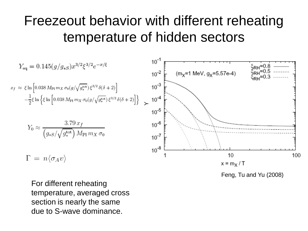#### Freezeout behavior with different reheating temperature of hidden sectors

$$
Y_{eq} = 0.145(g/g_{*s})x^{3/2}\xi^{3/2}e^{-x/\xi}
$$
\n
$$
10^{-1}
$$
\n
$$
10^{-2}
$$
\n
$$
\left[\begin{array}{c} (m_{\chi} = 1 \text{ MeV, } g_{\chi} = 5.57e-4) \\ 5.57e^{-2} \text{ He}} & \text{MeV, } g_{\chi} = 0.5 \text{ mm} \\ 0.5 & -\frac{1}{2}\xi \ln \left\{\xi \ln \left[0.038 \, M_{\text{Pl}} \, m_X \, \sigma_0(g/\sqrt{g_*^{tot}}) \, \xi^{3/2} \, \delta(\delta+2)\right]\right\} \\ 2.79 \, \text{K} \\ \hline \left(g_{*S}/\sqrt{g_*^{tot}}\right) M_{\text{Pl}} \, m_X \, \sigma_0 \end{array}\right]
$$
\n
$$
10^{-6}
$$
\n
$$
10^{-7}
$$
\n
$$
10^{-8}
$$
\n
$$
10^{-8}
$$
\n
$$
10^{-8}
$$
\n
$$
10^{-8}
$$
\n
$$
10^{-8}
$$
\n
$$
10^{-8}
$$
\n
$$
10^{-8}
$$
\n
$$
10^{-8}
$$
\n
$$
10^{-8}
$$
\n
$$
10^{-8}
$$
\n
$$
10^{-8}
$$
\n
$$
10^{-8}
$$
\n
$$
10^{-8}
$$
\n
$$
10^{-8}
$$
\n
$$
10^{-8}
$$
\n
$$
10^{-8}
$$
\n
$$
10^{-8}
$$
\n
$$
10^{-8}
$$
\n
$$
10^{-8}
$$
\n
$$
10^{-8}
$$
\n
$$
10^{-8}
$$
\n
$$
10^{-8}
$$
\n
$$
10^{-8}
$$
\n
$$
10^{-8}
$$
\n
$$
10^{-8}
$$
\n
$$
10^{-8}
$$
\n
$$
10^{-8}
$$
\n
$$
10^{-8}
$$
\n
$$
10^{-8}
$$
\n
$$
10^{-8}
$$
\n
$$
10^{-8}
$$
\n

Feng, Tu and Yu (2008)

For different reheating temperature, averaged cross section is nearly the same due to S-wave dominance.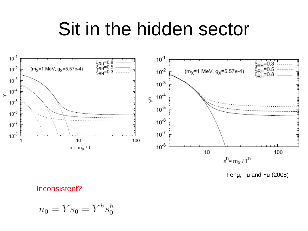#### Sit in the hidden sector



Feng, Tu and Yu (2008)

#### Inconsistent?

$$
n_0 = Ys_0 = Y^h s_0^h
$$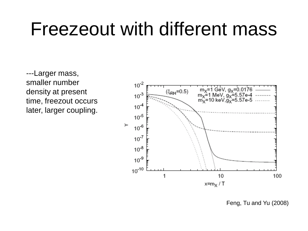#### Freezeout with different mass

---Larger mass, smaller number density at present time, freezout occurs later, larger coupling.



Feng, Tu and Yu (2008)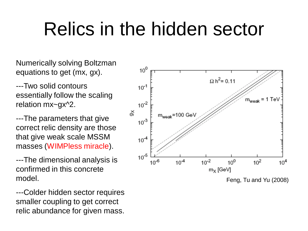#### Relics in the hidden sector

Numerically solving Boltzman equations to get (mx, gx).

---Two solid contours essentially follow the scaling relation mx~gx^2.

---The parameters that give correct relic density are those that give weak scale MSSM masses (WIMPless miracle).

---The dimensional analysis is confirmed in this concrete model.

---Colder hidden sector requires smaller coupling to get correct relic abundance for given mass.



Feng, Tu and Yu (2008)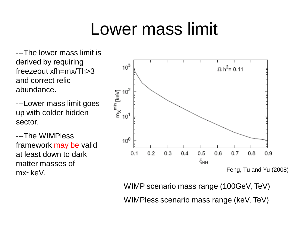#### Lower mass limit

---The lower mass limit is derived by requiring freezeout xfh=mx/Th>3 and correct relic abundance.

---Lower mass limit goes up with colder hidden sector.

---The WIMPless framework may be valid at least down to dark matter masses of mx~keV.



Feng, Tu and Yu (2008)

WIMP scenario mass range (100GeV, TeV) WIMPless scenario mass range (keV, TeV)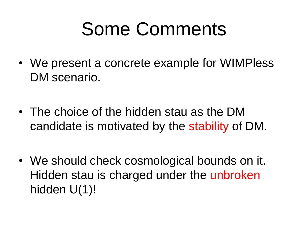### Some Comments

- We present a concrete example for WIMPless DM scenario.
- The choice of the hidden stau as the DM candidate is motivated by the stability of DM.
- We should check cosmological bounds on it. Hidden stau is charged under the unbroken hidden U(1)!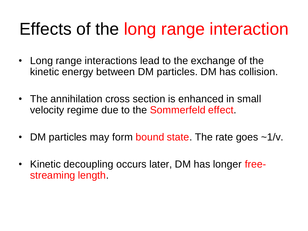#### Effects of the long range interaction

- Long range interactions lead to the exchange of the kinetic energy between DM particles. DM has collision.
- The annihilation cross section is enhanced in small velocity regime due to the Sommerfeld effect.
- DM particles may form bound state. The rate goes  $\sim 1/\nu$ .
- Kinetic decoupling occurs later, DM has longer freestreaming length.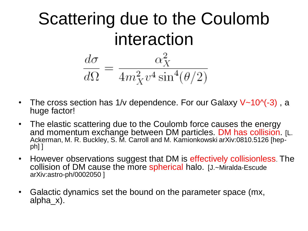# Scattering due to the Coulomb interaction  $\frac{d\sigma}{d\Omega} = \frac{\alpha_X^2}{4m_X^2 v^4 \sin^4(\theta/2)}$

- The cross section has 1/v dependence. For our Galaxy  $V~10$ <sup> $( -3)$ </sup>, a huge factor!
- The elastic scattering due to the Coulomb force causes the energy and momentum exchange between DM particles. DM has collision. [L. Ackerman, M. R. Buckley, S. M. Carroll and M. Kamionkowski arXiv:0810.5126 [hepph] ]
- However observations suggest that DM is effectively collisionless. The collision of DM cause the more spherical halo. [J.~Miralda-Escude arXiv:astro-ph/0002050 ]
- Galactic dynamics set the bound on the parameter space (mx, alpha\_x).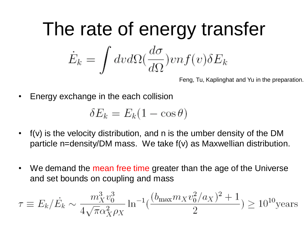# The rate of energy transfer  $\dot{E}_k = \int dv d\Omega \left(\frac{d\sigma}{d\Omega}\right) v n f(v) \delta E_k$

Feng, Tu, Kaplinghat and Yu in the preparation.

• Energy exchange in the each collision

$$
\delta E_k = E_k (1 - \cos \theta)
$$

- f(v) is the velocity distribution, and n is the umber density of the DM particle n=density/DM mass. We take f(v) as Maxwellian distribution.
- We demand the mean free time greater than the age of the Universe and set bounds on coupling and mass

$$
\tau \equiv E_k / \dot{E}_k \sim \frac{m_X^3 v_0^3}{4\sqrt{\pi} \alpha_X^2 \rho_X} \ln^{-1} \left( \frac{(b_{\text{max}} m_X v_0^2 / a_X)^2 + 1}{2} \right) \ge 10^{10} \text{years}
$$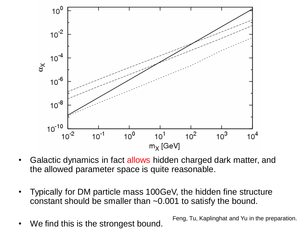

- Galactic dynamics in fact allows hidden charged dark matter, and the allowed parameter space is quite reasonable.
- Typically for DM particle mass 100GeV, the hidden fine structure constant should be smaller than ~0.001 to satisfy the bound.
- We find this is the strongest bound. Feng, Tu, Kaplinghat and Yu in the preparation.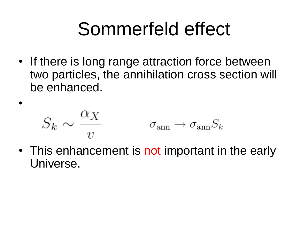### Sommerfeld effect

• If there is long range attraction force between two particles, the annihilation cross section will be enhanced.

$$
S_k \sim \frac{\alpha_X}{v} \qquad \qquad \sigma_{\rm ann} \rightarrow \sigma_{\rm ann} S_k
$$

•

• This enhancement is not important in the early Universe.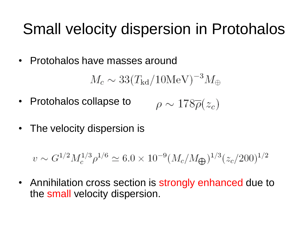#### Small velocity dispersion in Protohalos

• Protohalos have masses around

 $M_c \sim 33 (T_{\rm kd}/10{\rm MeV})^{-3} M_\oplus$ 

- Protohalos collapse to  $\rho \sim 178\overline{\rho}(z_c)$
- The velocity dispersion is

 $v \sim G^{1/2} M_c^{1/3} \rho^{1/6} \simeq 6.0 \times 10^{-9} (M_c/M_{\bigoplus})^{1/3} (z_c/200)^{1/2}$ 

• Annihilation cross section is strongly enhanced due to the small velocity dispersion.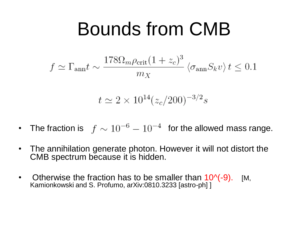#### Bounds from CMB

$$
f \simeq \Gamma_{\rm ann} t \sim \frac{178 \Omega_m \rho_{\rm crit} (1+z_c)^3}{m_X} \left\langle \sigma_{\rm ann} S_k v \right\rangle t \le 0.1
$$

$$
t \simeq 2 \times 10^{14} (z_c/200)^{-3/2} s
$$

- The fraction is  $f \sim 10^{-6} 10^{-4}$  for the allowed mass range.
- The annihilation generate photon. However it will not distort the CMB spectrum because it is hidden.
- Otherwise the fraction has to be smaller than  $10^{-6}$ (-9). [M, Kamionkowski and S. Profumo, arXiv:0810.3233 [astro-ph] ]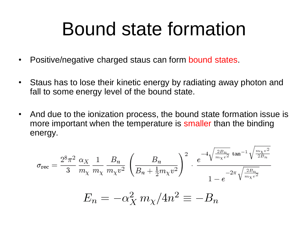#### Bound state formation

- Positive/negative charged staus can form bound states.
- Staus has to lose their kinetic energy by radiating away photon and fall to some energy level of the bound state.
- And due to the ionization process, the bound state formation issue is more important when the temperature is smaller than the binding energy.

$$
\sigma_{\text{rec}} = \frac{2^8 \pi^2}{3} \frac{\alpha_X}{m_\chi} \frac{1}{m_\chi} \frac{B_n}{m_\chi v^2} \left( \frac{B_n}{B_n + \frac{1}{2} m_\chi v^2} \right)^2 \cdot \frac{e^{-4 \sqrt{\frac{2B_n}{m_\chi v^2}} \tan^{-1} \sqrt{\frac{m_\chi v^2}{2B_n}}}}{1 - e^{-2\pi \sqrt{\frac{2B_n}{m_\chi v^2}}}}}
$$

$$
E_n = -\alpha_X^2 m_\chi / 4n^2 \equiv -B_n
$$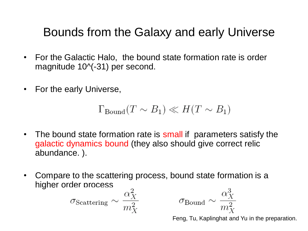#### Bounds from the Galaxy and early Universe

- For the Galactic Halo, the bound state formation rate is order magnitude 10^(-31) per second.
- For the early Universe,

$$
\Gamma_{\text{Bound}}(T \sim B_1) \ll H(T \sim B_1)
$$

- The bound state formation rate is small if parameters satisfy the galactic dynamics bound (they also should give correct relic abundance. ).
- Compare to the scattering process, bound state formation is a higher order process

$$
\sigma_{\rm Scattering} \sim \frac{\alpha_X^2}{m_X^2}
$$

 $\sigma_{\text{Bound}} \sim \frac{\alpha_X^3}{m_X^2}$ 

Feng, Tu, Kaplinghat and Yu in the preparation.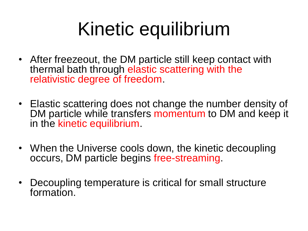## Kinetic equilibrium

- After freezeout, the DM particle still keep contact with thermal bath through elastic scattering with the relativistic degree of freedom.
- Elastic scattering does not change the number density of DM particle while transfers momentum to DM and keep it in the kinetic equilibrium.
- When the Universe cools down, the kinetic decoupling occurs, DM particle begins free-streaming.
- Decoupling temperature is critical for small structure formation.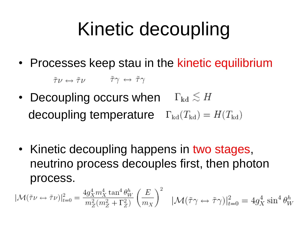## Kinetic decoupling

• Processes keep stau in the kinetic equilibrium

 $\tilde{\tau}\nu \leftrightarrow \tilde{\tau}\nu \qquad \tilde{\tau}\gamma \leftrightarrow \tilde{\tau}\gamma$ 

- Decoupling occurs when  $\Gamma_{\rm kd} \lesssim H$ decoupling temperature  $\Gamma_{\text{kd}}(T_{\text{kd}}) = H(T_{\text{kd}})$
- Kinetic decoupling happens in two stages, neutrino process decouples first, then photon process.

$$
|\mathcal{M}(\tilde{\tau}\nu \leftrightarrow \tilde{\tau}\nu)|_{t=0}^2 = \frac{4g_X^4 m_X^4 \tan^4 \theta_W^h}{m_Z^2 (m_Z^2 + \Gamma_Z^2)} \left(\frac{E}{m_X}\right)^2 \quad |\mathcal{M}(\tilde{\tau}\gamma \leftrightarrow \tilde{\tau}\gamma)|_{t=0}^2 = 4g_X^4 \sin^4 \theta_W^h
$$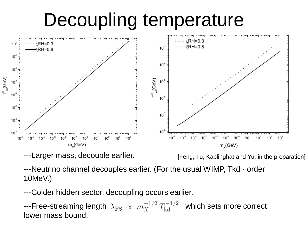### Decoupling temperature



---Larger mass, decouple earlier.

[Feng, Tu, Kaplinghat and Yu, in the preparation]

---Neutrino channel decouples earlier. (For the usual WIMP, Tkd~ order 10MeV.)

---Colder hidden sector, decoupling occurs earlier.

---Free-streaming length  $\ \lambda_{\rm FS} \ \propto \ m_{X}^{-1/2} \ T_{\rm kd}^{-1/2} \ \ \hbox{which sets more correct}$ lower mass bound.